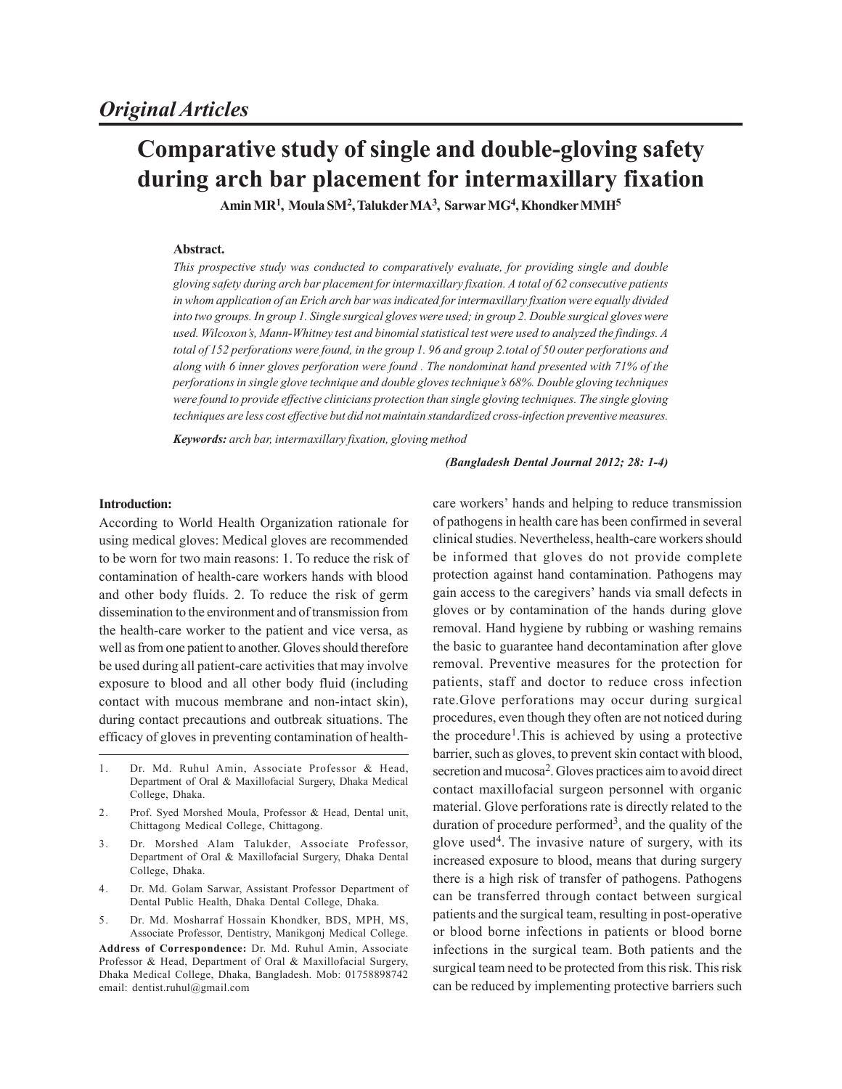# **Comparative study of single and double-gloving safety during arch bar placement for intermaxillary fixation**

**Amin MR<sup>1</sup> , Moula SM<sup>2</sup> , Talukder MA<sup>3</sup> , Sarwar MG<sup>4</sup> , Khondker MMH<sup>5</sup>**

## **Abstract.**

*This prospective study was conducted to comparatively evaluate, for providing single and double gloving safety during arch bar placement for intermaxillary fixation. A total of 62 consecutive patients in whom application of an Erich arch bar was indicated for intermaxillary fixation were equally divided into two groups. In group 1. Single surgical gloves were used; in group 2. Double surgical gloves were used. Wilcoxon's, Mann-Whitney test and binomial statistical test were used to analyzed the findings. A total of 152 perforations were found, in the group 1. 96 and group 2.total of 50 outer perforations and along with 6 inner gloves perforation were found . The nondominat hand presented with 71% of the perforations in single glove technique and double gloves technique's 68%. Double gloving techniques were found to provide effective clinicians protection than single gloving techniques. The single gloving techniques are less cost effective but did not maintain standardized cross-infection preventive measures.*

*Keywords: arch bar, intermaxillary fixation, gloving method*

#### *(Bangladesh Dental Journal 2012; 28: 1-4)*

#### **Introduction:**

According to World Health Organization rationale for using medical gloves: Medical gloves are recommended to be worn for two main reasons: 1. To reduce the risk of contamination of health-care workers hands with blood and other body fluids. 2. To reduce the risk of germ dissemination to the environment and of transmission from the health-care worker to the patient and vice versa, as well as from one patient to another. Gloves should therefore be used during all patient-care activities that may involve exposure to blood and all other body fluid (including contact with mucous membrane and non-intact skin), during contact precautions and outbreak situations. The efficacy of gloves in preventing contamination of health-

- 1. Dr. Md. Ruhul Amin, Associate Professor & Head, Department of Oral & Maxillofacial Surgery, Dhaka Medical College, Dhaka.
- 2. Prof. Syed Morshed Moula, Professor & Head, Dental unit, Chittagong Medical College, Chittagong.
- 3. Dr. Morshed Alam Talukder, Associate Professor, Department of Oral & Maxillofacial Surgery, Dhaka Dental College, Dhaka.
- 4. Dr. Md. Golam Sarwar, Assistant Professor Department of Dental Public Health, Dhaka Dental College, Dhaka.
- 5. Dr. Md. Mosharraf Hossain Khondker, BDS, MPH, MS, Associate Professor, Dentistry, Manikgonj Medical College.

**Address of Correspondence:** Dr. Md. Ruhul Amin, Associate Professor & Head, Department of Oral & Maxillofacial Surgery, Dhaka Medical College, Dhaka, Bangladesh. Mob: 01758898742 email: dentist.ruhul@gmail.com

care workers' hands and helping to reduce transmission of pathogens in health care has been confirmed in several clinical studies. Nevertheless, health-care workers should be informed that gloves do not provide complete protection against hand contamination. Pathogens may gain access to the caregivers' hands via small defects in gloves or by contamination of the hands during glove removal. Hand hygiene by rubbing or washing remains the basic to guarantee hand decontamination after glove removal. Preventive measures for the protection for patients, staff and doctor to reduce cross infection rate.Glove perforations may occur during surgical procedures, even though they often are not noticed during the procedure<sup>1</sup>. This is achieved by using a protective barrier, such as gloves, to prevent skin contact with blood, secretion and mucosa<sup>2</sup>. Gloves practices aim to avoid direct contact maxillofacial surgeon personnel with organic material. Glove perforations rate is directly related to the duration of procedure performed<sup>3</sup>, and the quality of the glove used<sup>4</sup> . The invasive nature of surgery, with its increased exposure to blood, means that during surgery there is a high risk of transfer of pathogens. Pathogens can be transferred through contact between surgical patients and the surgical team, resulting in post-operative or blood borne infections in patients or blood borne infections in the surgical team. Both patients and the surgical team need to be protected from this risk. This risk can be reduced by implementing protective barriers such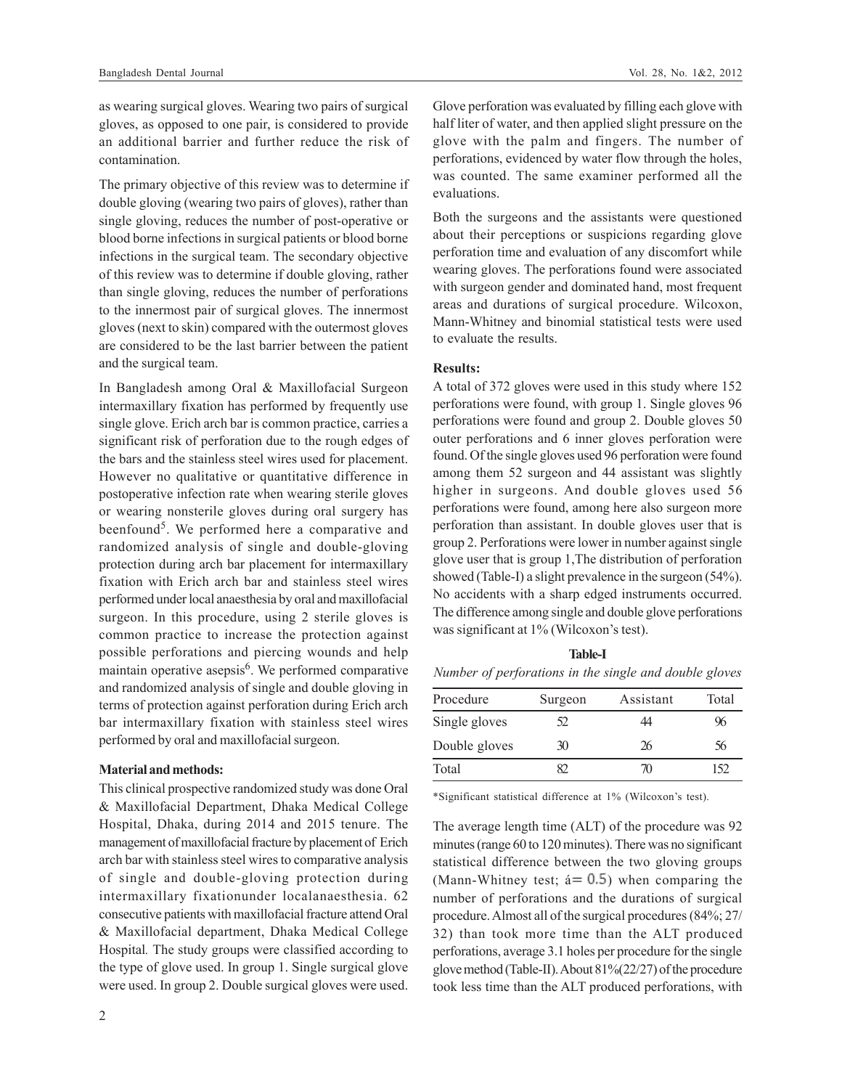as wearing surgical gloves. Wearing two pairs of surgical gloves, as opposed to one pair, is considered to provide an additional barrier and further reduce the risk of contamination.

The primary objective of this review was to determine if double gloving (wearing two pairs of gloves), rather than single gloving, reduces the number of post-operative or blood borne infections in surgical patients or blood borne infections in the surgical team. The secondary objective of this review was to determine if double gloving, rather than single gloving, reduces the number of perforations to the innermost pair of surgical gloves. The innermost gloves (next to skin) compared with the outermost gloves are considered to be the last barrier between the patient and the surgical team.

In Bangladesh among Oral & Maxillofacial Surgeon intermaxillary fixation has performed by frequently use single glove. Erich arch bar is common practice, carries a significant risk of perforation due to the rough edges of the bars and the stainless steel wires used for placement. However no qualitative or quantitative difference in postoperative infection rate when wearing sterile gloves or wearing nonsterile gloves during oral surgery has beenfound<sup>5</sup>. We performed here a comparative and randomized analysis of single and double-gloving protection during arch bar placement for intermaxillary fixation with Erich arch bar and stainless steel wires performed under local anaesthesia by oral and maxillofacial surgeon. In this procedure, using 2 sterile gloves is common practice to increase the protection against possible perforations and piercing wounds and help maintain operative asepsis<sup>6</sup>. We performed comparative and randomized analysis of single and double gloving in terms of protection against perforation during Erich arch bar intermaxillary fixation with stainless steel wires performed by oral and maxillofacial surgeon.

## **Material and methods:**

This clinical prospective randomized study was done Oral & Maxillofacial Department, Dhaka Medical College Hospital, Dhaka, during 2014 and 2015 tenure. The management of maxillofacial fracture by placement of Erich arch bar with stainless steel wires to comparative analysis of single and double-gloving protection during intermaxillary fixationunder localanaesthesia. 62 consecutive patients with maxillofacial fracture attend Oral & Maxillofacial department, Dhaka Medical College Hospital*.* The study groups were classified according to the type of glove used. In group 1. Single surgical glove were used. In group 2. Double surgical gloves were used. Glove perforation was evaluated by filling each glove with half liter of water, and then applied slight pressure on the glove with the palm and fingers. The number of perforations, evidenced by water flow through the holes, was counted. The same examiner performed all the evaluations.

Both the surgeons and the assistants were questioned about their perceptions or suspicions regarding glove perforation time and evaluation of any discomfort while wearing gloves. The perforations found were associated with surgeon gender and dominated hand, most frequent areas and durations of surgical procedure. Wilcoxon, Mann-Whitney and binomial statistical tests were used to evaluate the results.

# **Results:**

A total of 372 gloves were used in this study where 152 perforations were found, with group 1. Single gloves 96 perforations were found and group 2. Double gloves 50 outer perforations and 6 inner gloves perforation were found. Of the single gloves used 96 perforation were found among them 52 surgeon and 44 assistant was slightly higher in surgeons. And double gloves used 56 perforations were found, among here also surgeon more perforation than assistant. In double gloves user that is group 2. Perforations were lower in number against single glove user that is group 1,The distribution of perforation showed (Table-I) a slight prevalence in the surgeon (54%). No accidents with a sharp edged instruments occurred. The difference among single and double glove perforations was significant at 1% (Wilcoxon's test).

**Table-I** *Number of perforations in the single and double gloves*

| Procedure     | Surgeon | Assistant | Total |
|---------------|---------|-----------|-------|
| Single gloves | 52      | 14        | 96    |
| Double gloves | 30      | 26        | 56    |
| Total         |         | 70        | 152   |

\*Significant statistical difference at 1% (Wilcoxon's test).

The average length time (ALT) of the procedure was 92 minutes (range 60 to 120 minutes). There was no significant statistical difference between the two gloving groups (Mann-Whitney test;  $\acute{a} = 0.5$ ) when comparing the number of perforations and the durations of surgical procedure. Almost all of the surgical procedures (84%; 27/ 32) than took more time than the ALT produced perforations, average 3.1 holes per procedure for the single glove method (Table-II). About 81%(22/27) of the procedure took less time than the ALT produced perforations, with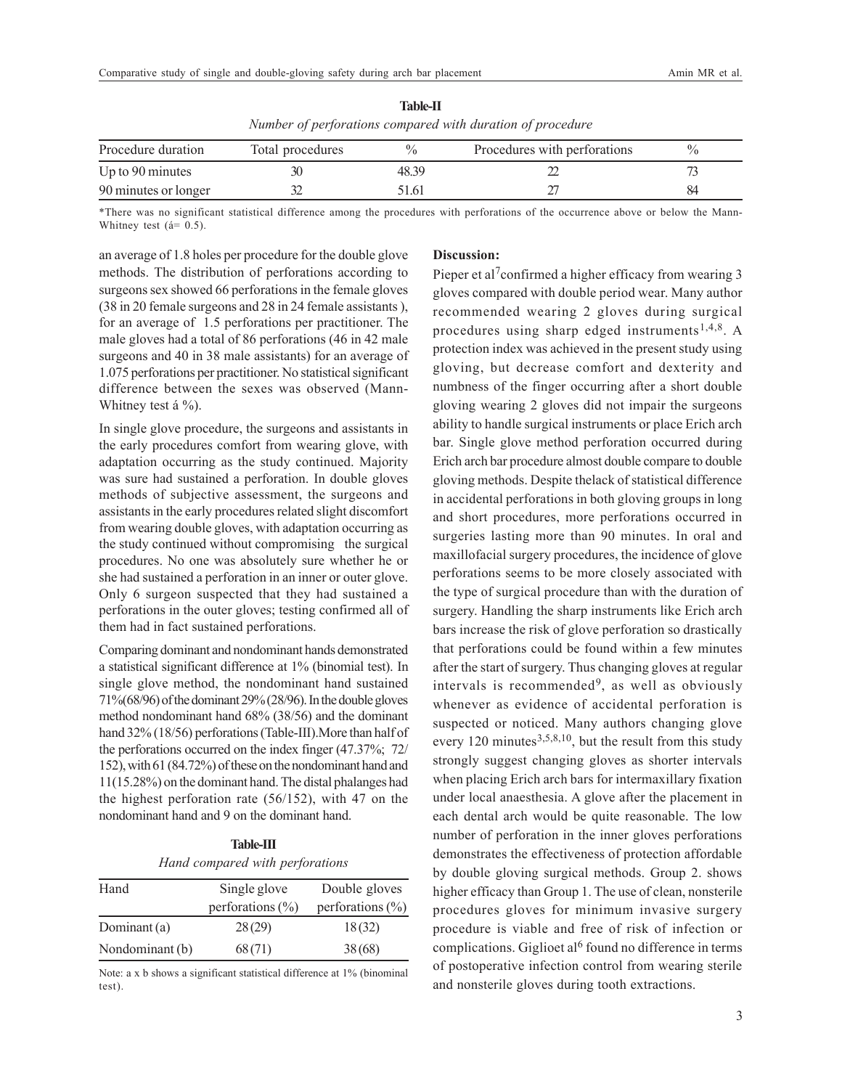| Trancer of performations compared with auranon of procedure |                  |       |                              |               |  |
|-------------------------------------------------------------|------------------|-------|------------------------------|---------------|--|
| Procedure duration                                          | Total procedures | 0/2   | Procedures with perforations | $\frac{0}{0}$ |  |
| Up to $90$ minutes                                          |                  | 48.39 |                              |               |  |
| 90 minutes or longer                                        |                  | 51.61 |                              | 84            |  |

**Table-II** *Number of perforations compared with duration of procedure*

\*There was no significant statistical difference among the procedures with perforations of the occurrence above or below the Mann-Whitney test (á= 0.5).

an average of 1.8 holes per procedure for the double glove methods. The distribution of perforations according to surgeons sex showed 66 perforations in the female gloves (38 in 20 female surgeons and 28 in 24 female assistants ), for an average of 1.5 perforations per practitioner. The male gloves had a total of 86 perforations (46 in 42 male surgeons and 40 in 38 male assistants) for an average of 1.075 perforations per practitioner. No statistical significant difference between the sexes was observed (Mann-Whitney test á %).

In single glove procedure, the surgeons and assistants in the early procedures comfort from wearing glove, with adaptation occurring as the study continued. Majority was sure had sustained a perforation. In double gloves methods of subjective assessment, the surgeons and assistants in the early procedures related slight discomfort from wearing double gloves, with adaptation occurring as the study continued without compromising the surgical procedures. No one was absolutely sure whether he or she had sustained a perforation in an inner or outer glove. Only 6 surgeon suspected that they had sustained a perforations in the outer gloves; testing confirmed all of them had in fact sustained perforations.

Comparing dominant and nondominant hands demonstrated a statistical significant difference at 1% (binomial test). In single glove method, the nondominant hand sustained 71%(68/96) of the dominant 29% (28/96). In the double gloves method nondominant hand 68% (38/56) and the dominant hand 32% (18/56) perforations (Table-III).More than half of the perforations occurred on the index finger (47.37%; 72/ 152), with 61 (84.72%) of these on the nondominant hand and 11(15.28%) on the dominant hand. The distal phalanges had the highest perforation rate (56/152), with 47 on the nondominant hand and 9 on the dominant hand.

| <b>Table-III</b> |                                 |  |  |  |
|------------------|---------------------------------|--|--|--|
|                  | Hand compared with perforations |  |  |  |

| Hand            | Single glove         | Double gloves        |  |
|-----------------|----------------------|----------------------|--|
|                 | perforations $(\% )$ | perforations $(\% )$ |  |
| Dominant (a)    | 28(29)               | 18(32)               |  |
| Nondominant (b) | 68(71)               | 38(68)               |  |

Note: a x b shows a significant statistical difference at 1% (binominal test).

### **Discussion:**

Pieper et al<sup>7</sup>confirmed a higher efficacy from wearing 3 gloves compared with double period wear. Many author recommended wearing 2 gloves during surgical procedures using sharp edged instruments<sup>1,4,8</sup>. A protection index was achieved in the present study using gloving, but decrease comfort and dexterity and numbness of the finger occurring after a short double gloving wearing 2 gloves did not impair the surgeons ability to handle surgical instruments or place Erich arch bar. Single glove method perforation occurred during Erich arch bar procedure almost double compare to double gloving methods. Despite thelack of statistical difference in accidental perforations in both gloving groups in long and short procedures, more perforations occurred in surgeries lasting more than 90 minutes. In oral and maxillofacial surgery procedures, the incidence of glove perforations seems to be more closely associated with the type of surgical procedure than with the duration of surgery. Handling the sharp instruments like Erich arch bars increase the risk of glove perforation so drastically that perforations could be found within a few minutes after the start of surgery. Thus changing gloves at regular intervals is recommended<sup>9</sup>, as well as obviously whenever as evidence of accidental perforation is suspected or noticed. Many authors changing glove every 120 minutes $3,5,8,10$ , but the result from this study strongly suggest changing gloves as shorter intervals when placing Erich arch bars for intermaxillary fixation under local anaesthesia. A glove after the placement in each dental arch would be quite reasonable. The low number of perforation in the inner gloves perforations demonstrates the effectiveness of protection affordable by double gloving surgical methods. Group 2. shows higher efficacy than Group 1. The use of clean, nonsterile procedures gloves for minimum invasive surgery procedure is viable and free of risk of infection or complications. Giglioet al<sup>6</sup> found no difference in terms of postoperative infection control from wearing sterile and nonsterile gloves during tooth extractions.